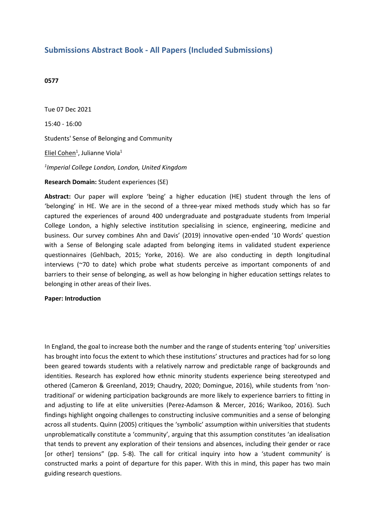# **Submissions Abstract Book - All Papers (Included Submissions)**

### **0577**

Tue 07 Dec 2021 15:40 - 16:00 Students' Sense of Belonging and Community Eliel Cohen<sup>1</sup>, Julianne Viola<sup>1</sup> *1 Imperial College London, London, United Kingdom* **Research Domain:** Student experiences (SE)

**Abstract:** Our paper will explore 'being' <sup>a</sup> higher education (HE) student through the lens of 'belonging' in HE. We are in the second of <sup>a</sup> three-year mixed methods study which has so far captured the experiences of around 400 undergraduate and postgraduate students from Imperial College London, <sup>a</sup> highly selective institution specialising in science, engineering, medicine and business. Our survey combines Ahn and Davis' (2019) innovative open-ended '10 Words' question with <sup>a</sup> Sense of Belonging scale adapted from belonging items in validated student experience questionnaires (Gehlbach, 2015; Yorke, 2016). We are also conducting in depth longitudinal interviews (~70 to date) which probe what students perceive as important components of and barriers to their sense of belonging, as well as how belonging in higher education settings relates to belonging in other areas of their lives.

### **Paper: Introduction**

In England, the goal to increase both the number and the range of students entering 'top' universities has brought into focus the extent to which these institutions' structures and practices had for so long been geared towards students with <sup>a</sup> relatively narrow and predictable range of backgrounds and identities. Research has explored how ethnic minority students experience being stereotyped and othered (Cameron & Greenland, 2019; Chaudry, 2020; Domingue, 2016), while students from 'nontraditional' or widening participation backgrounds are more likely to experience barriers to fitting in and adjusting to life at elite universities (Perez-Adamson & Mercer, 2016; Warikoo, 2016). Such findings highlight ongoing challenges to constructing inclusive communities and <sup>a</sup> sense of belonging across all students. Quinn (2005) critiques the 'symbolic' assumption within universities that students unproblematically constitute <sup>a</sup> 'community', arguing that this assumption constitutes 'an idealisation that tends to prevent any exploration of their tensions and absences, including their gender or race [or other] tensions" (pp. 5-8). The call for critical inquiry into how <sup>a</sup> 'student community' is constructed marks <sup>a</sup> point of departure for this paper. With this in mind, this paper has two main guiding research questions.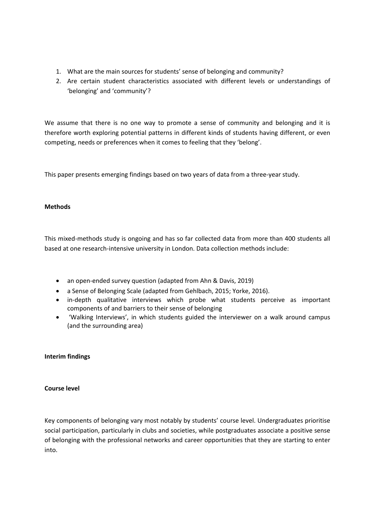- 1. What are the main sources for students' sense of belonging and community?
- 2. Are certain student characteristics associated with different levels or understandings of 'belonging' and 'community'?

We assume that there is no one way to promote <sup>a</sup> sense of community and belonging and it is therefore worth exploring potential patterns in different kinds of students having different, or even competing, needs or preferences when it comes to feeling that they 'belong'.

This paper presents emerging findings based on two years of data from <sup>a</sup> three-year study.

## **Methods**

This mixed-methods study is ongoing and has so far collected data from more than 400 students all based at one research-intensive university in London. Data collection methods include:

- an open-ended survey question (adapted from Ahn & Davis, 2019)
- a Sense of Belonging Scale (adapted from Gehlbach, 2015; Yorke, 2016).
- in-depth qualitative interviews which probe what students perceive as important components of and barriers to their sense of belonging
- 'Walking Interviews', in which students guided the interviewer on <sup>a</sup> walk around campus (and the surrounding area)

## **Interim findings**

## **Course level**

Key components of belonging vary most notably by students' course level. Undergraduates prioritise social participation, particularly in clubs and societies, while postgraduates associate <sup>a</sup> positive sense of belonging with the professional networks and career opportunities that they are starting to enter into.